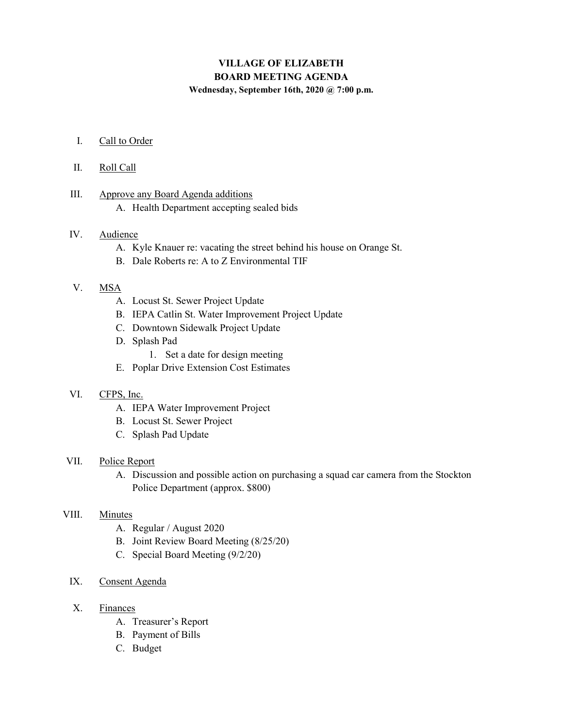# VILLAGE OF ELIZABETH BOARD MEETING AGENDA

Wednesday, September 16th, 2020 @ 7:00 p.m.

I. Call to Order

#### II. Roll Call

- III. Approve any Board Agenda additions
	- A. Health Department accepting sealed bids

### IV. Audience

- A. Kyle Knauer re: vacating the street behind his house on Orange St.
- B. Dale Roberts re: A to Z Environmental TIF

### V. MSA

- A. Locust St. Sewer Project Update
- B. IEPA Catlin St. Water Improvement Project Update
- C. Downtown Sidewalk Project Update
- D. Splash Pad
	- 1. Set a date for design meeting
- E. Poplar Drive Extension Cost Estimates

## VI. CFPS, Inc.

- A. IEPA Water Improvement Project
- B. Locust St. Sewer Project
- C. Splash Pad Update

#### VII. Police Report

A. Discussion and possible action on purchasing a squad car camera from the Stockton Police Department (approx. \$800)

### VIII. Minutes

- A. Regular / August 2020
- B. Joint Review Board Meeting (8/25/20)
- C. Special Board Meeting (9/2/20)

# IX. Consent Agenda

- X. Finances
	- A. Treasurer's Report
	- B. Payment of Bills
	- C. Budget